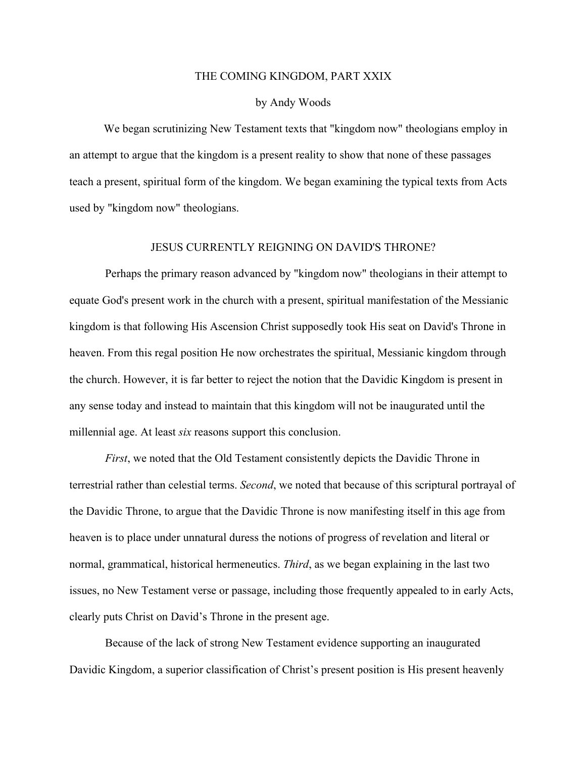## THE COMING KINGDOM, PART XXIX

## by Andy Woods

We began scrutinizing New Testament texts that "kingdom now" theologians employ in an attempt to argue that the kingdom is a present reality to show that none of these passages teach a present, spiritual form of the kingdom. We began examining the typical texts from Acts used by "kingdom now" theologians.

## JESUS CURRENTLY REIGNING ON DAVID'S THRONE?

Perhaps the primary reason advanced by "kingdom now" theologians in their attempt to equate God's present work in the church with a present, spiritual manifestation of the Messianic kingdom is that following His Ascension Christ supposedly took His seat on David's Throne in heaven. From this regal position He now orchestrates the spiritual, Messianic kingdom through the church. However, it is far better to reject the notion that the Davidic Kingdom is present in any sense today and instead to maintain that this kingdom will not be inaugurated until the millennial age. At least *six* reasons support this conclusion.

*First*, we noted that the Old Testament consistently depicts the Davidic Throne in terrestrial rather than celestial terms. *Second*, we noted that because of this scriptural portrayal of the Davidic Throne, to argue that the Davidic Throne is now manifesting itself in this age from heaven is to place under unnatural duress the notions of progress of revelation and literal or normal, grammatical, historical hermeneutics. *Third*, as we began explaining in the last two issues, no New Testament verse or passage, including those frequently appealed to in early Acts, clearly puts Christ on David's Throne in the present age.

Because of the lack of strong New Testament evidence supporting an inaugurated Davidic Kingdom, a superior classification of Christ's present position is His present heavenly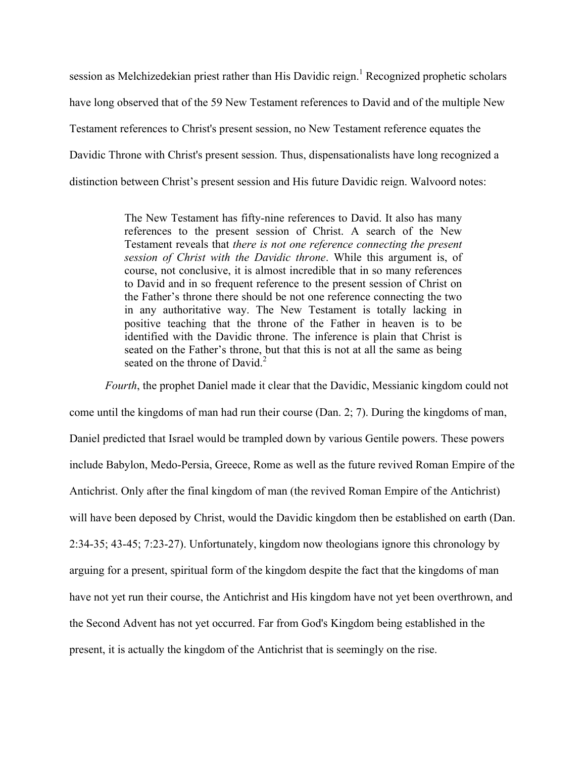session as Melchizedekian priest rather than His Davidic reign.<sup>1</sup> Recognized prophetic scholars have long observed that of the 59 New Testament references to David and of the multiple New Testament references to Christ's present session, no New Testament reference equates the Davidic Throne with Christ's present session. Thus, dispensationalists have long recognized a distinction between Christ's present session and His future Davidic reign. Walvoord notes:

> The New Testament has fifty-nine references to David. It also has many references to the present session of Christ. A search of the New Testament reveals that *there is not one reference connecting the present session of Christ with the Davidic throne*. While this argument is, of course, not conclusive, it is almost incredible that in so many references to David and in so frequent reference to the present session of Christ on the Father's throne there should be not one reference connecting the two in any authoritative way. The New Testament is totally lacking in positive teaching that the throne of the Father in heaven is to be identified with the Davidic throne. The inference is plain that Christ is seated on the Father's throne, but that this is not at all the same as being seated on the throne of David.<sup>2</sup>

*Fourth*, the prophet Daniel made it clear that the Davidic, Messianic kingdom could not come until the kingdoms of man had run their course (Dan. 2; 7). During the kingdoms of man, Daniel predicted that Israel would be trampled down by various Gentile powers. These powers include Babylon, Medo-Persia, Greece, Rome as well as the future revived Roman Empire of the Antichrist. Only after the final kingdom of man (the revived Roman Empire of the Antichrist) will have been deposed by Christ, would the Davidic kingdom then be established on earth (Dan. 2:34-35; 43-45; 7:23-27). Unfortunately, kingdom now theologians ignore this chronology by arguing for a present, spiritual form of the kingdom despite the fact that the kingdoms of man have not yet run their course, the Antichrist and His kingdom have not yet been overthrown, and the Second Advent has not yet occurred. Far from God's Kingdom being established in the present, it is actually the kingdom of the Antichrist that is seemingly on the rise.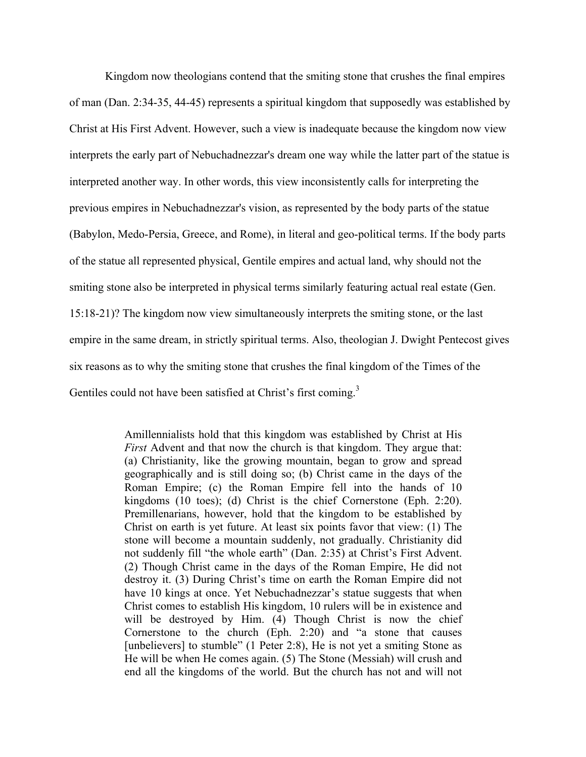Kingdom now theologians contend that the smiting stone that crushes the final empires of man (Dan. 2:34-35, 44-45) represents a spiritual kingdom that supposedly was established by Christ at His First Advent. However, such a view is inadequate because the kingdom now view interprets the early part of Nebuchadnezzar's dream one way while the latter part of the statue is interpreted another way. In other words, this view inconsistently calls for interpreting the previous empires in Nebuchadnezzar's vision, as represented by the body parts of the statue (Babylon, Medo-Persia, Greece, and Rome), in literal and geo-political terms. If the body parts of the statue all represented physical, Gentile empires and actual land, why should not the smiting stone also be interpreted in physical terms similarly featuring actual real estate (Gen. 15:18-21)? The kingdom now view simultaneously interprets the smiting stone, or the last empire in the same dream, in strictly spiritual terms. Also, theologian J. Dwight Pentecost gives six reasons as to why the smiting stone that crushes the final kingdom of the Times of the Gentiles could not have been satisfied at Christ's first coming.<sup>3</sup>

> Amillennialists hold that this kingdom was established by Christ at His *First* Advent and that now the church is that kingdom. They argue that: (a) Christianity, like the growing mountain, began to grow and spread geographically and is still doing so; (b) Christ came in the days of the Roman Empire; (c) the Roman Empire fell into the hands of 10 kingdoms (10 toes); (d) Christ is the chief Cornerstone (Eph. 2:20). Premillenarians, however, hold that the kingdom to be established by Christ on earth is yet future. At least six points favor that view: (1) The stone will become a mountain suddenly, not gradually. Christianity did not suddenly fill "the whole earth" (Dan. 2:35) at Christ's First Advent. (2) Though Christ came in the days of the Roman Empire, He did not destroy it. (3) During Christ's time on earth the Roman Empire did not have 10 kings at once. Yet Nebuchadnezzar's statue suggests that when Christ comes to establish His kingdom, 10 rulers will be in existence and will be destroyed by Him. (4) Though Christ is now the chief Cornerstone to the church (Eph. 2:20) and "a stone that causes [unbelievers] to stumble" (1 Peter 2:8), He is not yet a smiting Stone as He will be when He comes again. (5) The Stone (Messiah) will crush and end all the kingdoms of the world. But the church has not and will not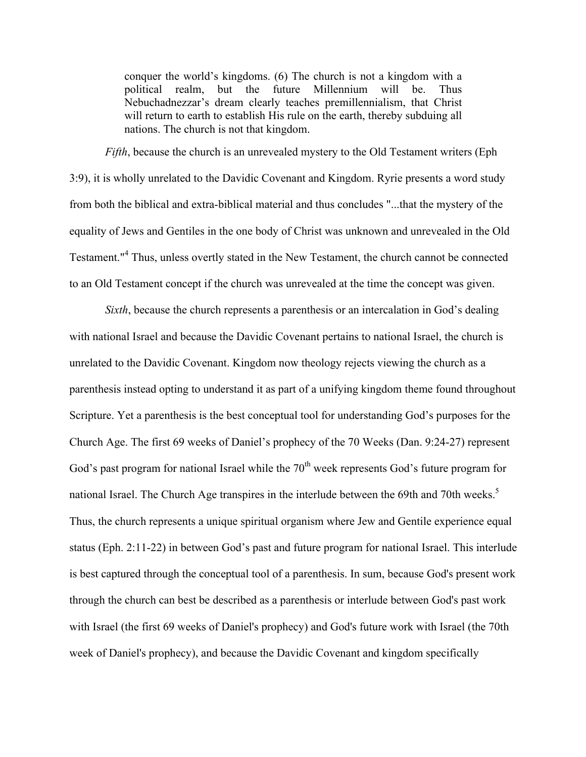conquer the world's kingdoms. (6) The church is not a kingdom with a political realm, but the future Millennium will be. Thus Nebuchadnezzar's dream clearly teaches premillennialism, that Christ will return to earth to establish His rule on the earth, thereby subduing all nations. The church is not that kingdom.

*Fifth*, because the church is an unrevealed mystery to the Old Testament writers (Eph 3:9), it is wholly unrelated to the Davidic Covenant and Kingdom. Ryrie presents a word study from both the biblical and extra-biblical material and thus concludes "...that the mystery of the equality of Jews and Gentiles in the one body of Christ was unknown and unrevealed in the Old Testament."4 Thus, unless overtly stated in the New Testament, the church cannot be connected to an Old Testament concept if the church was unrevealed at the time the concept was given.

*Sixth*, because the church represents a parenthesis or an intercalation in God's dealing with national Israel and because the Davidic Covenant pertains to national Israel, the church is unrelated to the Davidic Covenant. Kingdom now theology rejects viewing the church as a parenthesis instead opting to understand it as part of a unifying kingdom theme found throughout Scripture. Yet a parenthesis is the best conceptual tool for understanding God's purposes for the Church Age. The first 69 weeks of Daniel's prophecy of the 70 Weeks (Dan. 9:24-27) represent God's past program for national Israel while the  $70<sup>th</sup>$  week represents God's future program for national Israel. The Church Age transpires in the interlude between the 69th and 70th weeks.<sup>5</sup> Thus, the church represents a unique spiritual organism where Jew and Gentile experience equal status (Eph. 2:11-22) in between God's past and future program for national Israel. This interlude is best captured through the conceptual tool of a parenthesis. In sum, because God's present work through the church can best be described as a parenthesis or interlude between God's past work with Israel (the first 69 weeks of Daniel's prophecy) and God's future work with Israel (the 70th week of Daniel's prophecy), and because the Davidic Covenant and kingdom specifically